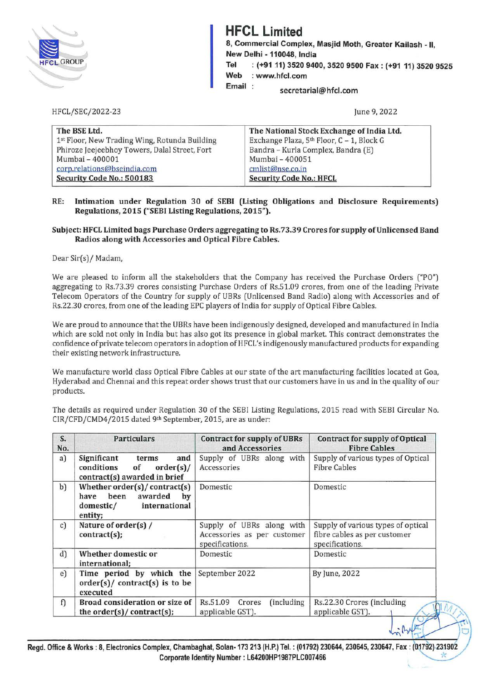

## **HFCL Limited**

8, Commercial Complex, Masjid Moth, Greater Kailash - 11, **New Delhi** - **110048, India Tel** : **(+91 11) 3520 9400, 3520 9500 Fax: (+91 11) 3520 9525 Web** : **www.hfcl.com** 

**Email secretarial@hfcl.com** 

June 9, 2022

| The BSE Ltd.                                  | The National Stock Exchange of India Ltd. |
|-----------------------------------------------|-------------------------------------------|
| 1st Floor, New Trading Wing, Rotunda Building | Exchange Plaza, 5th Floor, C - 1, Block G |
| Phiroze Jeejeebhoy Towers, Dalal Street, Fort | Bandra - Kurla Complex, Bandra (E)        |
| Mumbai - 400001                               | Mumbai - 400051                           |
| corp.relations@bseindia.com                   | cmlist@nse.co.in                          |
| Security Code No.: 500183                     | <b>Security Code No.: HFCL</b>            |

**RE: Intimation under Regulation 30 of SEBI (Listing Obligations and Disclosure Requirements) Regulations, 2015 ("SEBI Listing Regulations, 2015").** 

## **Subject: HFCL Limited bags Purchase Orders aggregating to Rs.73.39 Crores for supply of Unlicensed Band Radios along with Accessories and Optical Fibre Cables.**

Dear Sir(s)/ Madam,

HFCL/SEC/2022-23

We are pleased to inform all the stakeholders that the Company has received the Purchase Orders ("PO") aggregating to Rs.73.39 crores consisting Purchase Orders of Rs.51.09 crores, from one of the leading Private Telecom Operators of the Country for supply of UBRs (Unlicensed Band Radio) along with Accessories and of Rs.22.30 crores, from one of the leading EPC players of India for supply of Optical Fibre Cables.

We are proud to announce that the UBRs have been indigenously designed, developed and manufactured in India which are sold not only in India but has also got its presence in global market. This contract demonstrates the confidence of private telecom operators in adoption of HFCL's indigenously manufactured products for expanding their existing network infrastructure.

We manufacture world class Optical Fibre Cables at our state of the art manufacturing facilities located at Goa, Hyderabad and Chennai and this repeat order shows trust that our customers have in us and in the quality of our products.

The details as required under Regulation 30 of the SEBI Listing Regulations, 2015 read with SEBI Circular No. CIR/CFD/CMD4/2015 dated 9th September, 2015, are as under:

| S.<br>No. | <b>Particulars</b>                                                                                    | <b>Contract for supply of UBRs</b><br>and Accessories                       | <b>Contract for supply of Optical</b><br><b>Fibre Cables</b>                          |
|-----------|-------------------------------------------------------------------------------------------------------|-----------------------------------------------------------------------------|---------------------------------------------------------------------------------------|
| a)        | Significant<br>and<br>terms<br>conditions of<br>$order(s)$ /<br>contract(s) awarded in brief          | Supply of UBRs along with<br>Accessories                                    | Supply of various types of Optical<br><b>Fibre Cables</b>                             |
| b)        | Whether $order(s)/contract(s)$<br>been<br>awarded by<br>have<br>international<br>domestic/<br>entity; | Domestic                                                                    | Domestic                                                                              |
| c)        | Nature of order(s) /<br>contract(s);                                                                  | Supply of UBRs along with<br>Accessories as per customer<br>specifications. | Supply of various types of optical<br>fibre cables as per customer<br>specifications. |
| d)        | Whether domestic or<br>international:                                                                 | Domestic                                                                    | Domestic                                                                              |
| e)        | Time period by which the<br>$order(s)/contract(s)$ is to be<br>executed                               | September 2022                                                              | By June, 2022                                                                         |
| f)        | Broad consideration or size of<br>the order(s)/ contract(s);                                          | (including)<br>Rs.51.09<br>Crores<br>applicable GST).                       | Rs.22.30 Crores (including<br>applicable GST).                                        |